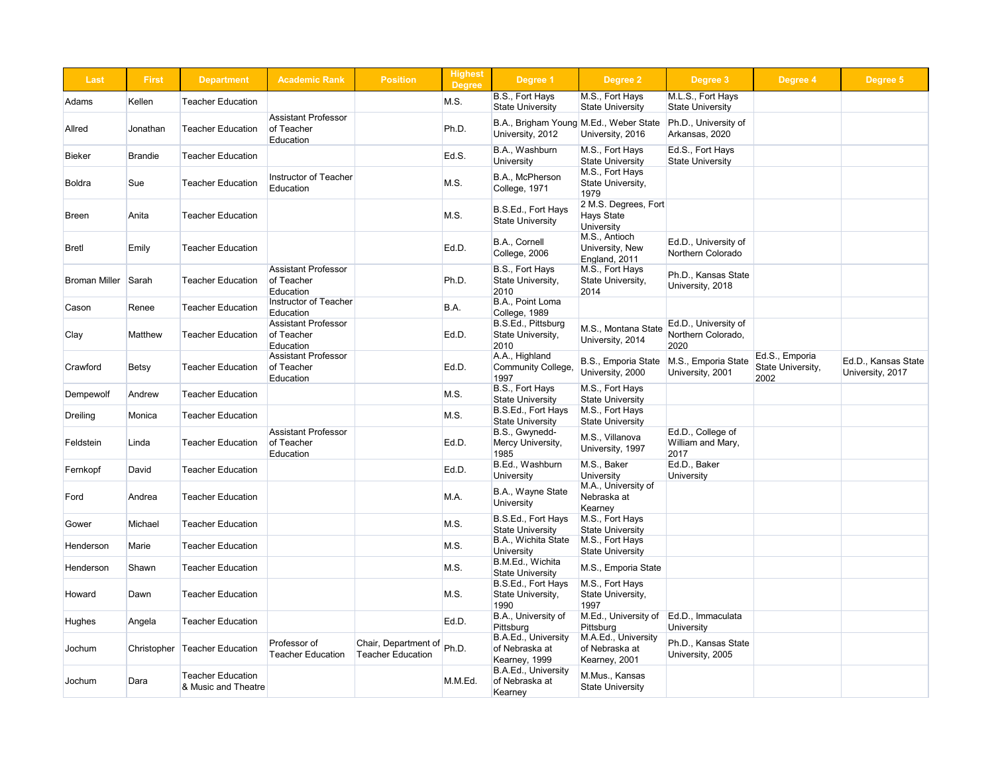| <b>Highest</b><br><b>Degree</b> | Degree 1                                                   | <b>Degree 2</b>                                                | <b>Degree 3</b>                                    | Degree 4                                    | Degree 5                                |  |
|---------------------------------|------------------------------------------------------------|----------------------------------------------------------------|----------------------------------------------------|---------------------------------------------|-----------------------------------------|--|
| .S.                             | B.S., Fort Hays<br><b>State University</b>                 | M.S., Fort Hays<br><b>State University</b>                     | M.L.S., Fort Hays<br><b>State University</b>       |                                             |                                         |  |
| n.D.                            | B.A., Brigham Young M.Ed., Weber State<br>University, 2012 | University, 2016                                               | Ph.D., University of<br>Arkansas, 2020             |                                             |                                         |  |
| d.S.                            | B.A., Washburn<br>University                               | M.S., Fort Hays<br><b>State University</b>                     | Ed.S., Fort Hays<br><b>State University</b>        |                                             |                                         |  |
| S.                              | B.A., McPherson<br>College, 1971                           | M.S., Fort Hays<br>State University,<br>1979                   |                                                    |                                             |                                         |  |
| .S.                             | B.S.Ed., Fort Hays<br><b>State University</b>              | 2 M.S. Degrees, Fort<br><b>Hays State</b><br><b>University</b> |                                                    |                                             |                                         |  |
| d.D.                            | B.A., Cornell<br>College, 2006                             | M.S., Antioch<br>University, New<br>England, 2011              | Ed.D., University of<br>Northern Colorado          |                                             |                                         |  |
| n.D.                            | B.S., Fort Hays<br>State University,<br>2010               | M.S., Fort Hays<br>State University,<br>2014                   | Ph.D., Kansas State<br>University, 2018            |                                             |                                         |  |
| Α.                              | B.A., Point Loma<br>College, 1989                          |                                                                |                                                    |                                             |                                         |  |
| d.D.                            | B.S.Ed., Pittsburg<br>State University,<br>2010            | M.S., Montana State<br>University, 2014                        | Ed.D., University of<br>Northern Colorado,<br>2020 |                                             |                                         |  |
| d.D.                            | A.A., Highland<br><b>Community College,</b><br>1997        | <b>B.S., Emporia State</b><br>University, 2000                 | M.S., Emporia State<br>University, 2001            | Ed.S., Emporia<br>State University,<br>2002 | Ed.D., Kansas State<br>University, 2017 |  |
| .S.                             | B.S., Fort Hays<br><b>State University</b>                 | M.S., Fort Hays<br><b>State University</b>                     |                                                    |                                             |                                         |  |
| .S.                             | B.S.Ed., Fort Hays<br><b>State University</b>              | M.S., Fort Hays<br><b>State University</b>                     |                                                    |                                             |                                         |  |
| d.D.                            | B.S., Gwynedd-<br>Mercy University,<br>1985                | M.S., Villanova<br>University, 1997                            | Ed.D., College of<br>William and Mary,<br>2017     |                                             |                                         |  |
| d.D.                            | B.Ed., Washburn<br><b>University</b>                       | M.S., Baker<br><b>University</b>                               | Ed.D., Baker<br><b>University</b>                  |                                             |                                         |  |
| .A.                             | B.A., Wayne State<br>University                            | M.A., University of<br>Nebraska at<br>Kearney                  |                                                    |                                             |                                         |  |
| .S.                             | B.S.Ed., Fort Hays<br><b>State University</b>              | M.S., Fort Hays<br><b>State University</b>                     |                                                    |                                             |                                         |  |
| .S.                             | B.A., Wichita State<br><b>University</b>                   | M.S., Fort Hays<br><b>State University</b>                     |                                                    |                                             |                                         |  |
| .S.                             | B.M.Ed., Wichita<br><b>State University</b>                | M.S., Emporia State                                            |                                                    |                                             |                                         |  |
| .S.                             | B.S.Ed., Fort Hays<br>State University,<br>1990            | M.S., Fort Hays<br>State University,<br>1997                   |                                                    |                                             |                                         |  |
| d.D.                            | B.A., University of<br>Pittsburg                           | M.Ed., University of<br>Pittsburg                              | Ed.D., Immaculata<br><b>University</b>             |                                             |                                         |  |
| n.D.                            | B.A.Ed., University<br>of Nebraska at<br>Kearney, 1999     | M.A.Ed., University<br>of Nebraska at<br>Kearney, 2001         | Ph.D., Kansas State<br>University, 2005            |                                             |                                         |  |
| .M.Ed.                          | B.A.Ed., University<br>of Nebraska at<br>Kearney           | M.Mus., Kansas<br><b>State University</b>                      |                                                    |                                             |                                         |  |

| <b>Last</b>          | <b>First</b>   | <b>Department</b>                               | <b>Academic Rank</b>                                  | <b>Position</b>                                  | <b>Highest</b><br><b>Degree</b> | Degree 1                                                   | Degree 2                                                       |                      |
|----------------------|----------------|-------------------------------------------------|-------------------------------------------------------|--------------------------------------------------|---------------------------------|------------------------------------------------------------|----------------------------------------------------------------|----------------------|
| Adams                | Kellen         | <b>Teacher Education</b>                        |                                                       |                                                  | M.S.                            | B.S., Fort Hays<br><b>State University</b>                 | M.S., Fort Hays<br><b>State University</b>                     | M.<br><b>St</b>      |
| Allred               | Jonathan       | <b>Teacher Education</b>                        | <b>Assistant Professor</b><br>of Teacher<br>Education |                                                  | Ph.D.                           | B.A., Brigham Young M.Ed., Weber State<br>University, 2012 | University, 2016                                               | Pł<br>Ar             |
| <b>Bieker</b>        | <b>Brandie</b> | <b>Teacher Education</b>                        |                                                       |                                                  | Ed.S.                           | B.A., Washburn<br>University                               | M.S., Fort Hays<br><b>State University</b>                     | Eo<br><b>St</b>      |
| <b>Boldra</b>        | Sue            | <b>Teacher Education</b>                        | Instructor of Teacher<br>Education                    |                                                  | M.S.                            | B.A., McPherson<br>College, 1971                           | M.S., Fort Hays<br>State University,<br>1979                   |                      |
| <b>Breen</b>         | Anita          | <b>Teacher Education</b>                        |                                                       |                                                  | M.S.                            | B.S.Ed., Fort Hays<br><b>State University</b>              | 2 M.S. Degrees, Fort<br><b>Hays State</b><br><b>University</b> |                      |
| <b>Bretl</b>         | Emily          | <b>Teacher Education</b>                        |                                                       |                                                  | Ed.D.                           | B.A., Cornell<br>College, 2006                             | M.S., Antioch<br>University, New<br>England, 2011              | Eo<br>N <sub>o</sub> |
| <b>Broman Miller</b> | Sarah          | <b>Teacher Education</b>                        | <b>Assistant Professor</b><br>of Teacher<br>Education |                                                  | Ph.D.                           | B.S., Fort Hays<br>State University,<br>2010               | M.S., Fort Hays<br>State University,<br>2014                   | Pł<br>Ur             |
| Cason                | Renee          | <b>Teacher Education</b>                        | <b>Instructor of Teacher</b><br>Education             |                                                  | B.A.                            | B.A., Point Loma<br>College, 1989                          |                                                                |                      |
| Clay                 | Matthew        | <b>Teacher Education</b>                        | <b>Assistant Professor</b><br>of Teacher<br>Education |                                                  | Ed.D.                           | B.S.Ed., Pittsburg<br>State University,<br>2010            | M.S., Montana State<br>University, 2014                        | E<br>N<br>20         |
| Crawford             | <b>Betsy</b>   | <b>Teacher Education</b>                        | <b>Assistant Professor</b><br>of Teacher<br>Education |                                                  | Ed.D.                           | A.A., Highland<br><b>Community College,</b><br>1997        | B.S., Emporia State<br>University, 2000                        | M.<br>Ur             |
| Dempewolf            | Andrew         | <b>Teacher Education</b>                        |                                                       |                                                  | M.S.                            | B.S., Fort Hays<br><b>State University</b>                 | M.S., Fort Hays<br><b>State University</b>                     |                      |
| Dreiling             | Monica         | <b>Teacher Education</b>                        |                                                       |                                                  | M.S.                            | B.S.Ed., Fort Hays<br><b>State University</b>              | M.S., Fort Hays<br><b>State University</b>                     |                      |
| Feldstein            | Linda          | <b>Teacher Education</b>                        | <b>Assistant Professor</b><br>of Teacher<br>Education |                                                  | Ed.D.                           | B.S., Gwynedd-<br>Mercy University,<br>1985                | M.S., Villanova<br>University, 1997                            | Ec<br>W<br>20        |
| Fernkopf             | David          | <b>Teacher Education</b>                        |                                                       |                                                  | Ed.D.                           | B.Ed., Washburn<br>University                              | M.S., Baker<br><b>University</b>                               | Ec<br>Ur             |
| Ford                 | Andrea         | <b>Teacher Education</b>                        |                                                       |                                                  | M.A.                            | B.A., Wayne State<br>University                            | M.A., University of<br>Nebraska at<br>Kearney                  |                      |
| Gower                | Michael        | <b>Teacher Education</b>                        |                                                       |                                                  | M.S.                            | B.S.Ed., Fort Hays<br><b>State University</b>              | M.S., Fort Hays<br><b>State University</b>                     |                      |
| Henderson            | Marie          | <b>Teacher Education</b>                        |                                                       |                                                  | M.S.                            | B.A., Wichita State<br><b>University</b>                   | M.S., Fort Hays<br><b>State University</b>                     |                      |
| Henderson            | Shawn          | <b>Teacher Education</b>                        |                                                       |                                                  | M.S.                            | B.M.Ed., Wichita<br><b>State University</b>                | M.S., Emporia State                                            |                      |
| Howard               | Dawn           | <b>Teacher Education</b>                        |                                                       |                                                  | M.S.                            | B.S.Ed., Fort Hays<br>State University,<br>1990            | M.S., Fort Hays<br>State University,<br>1997                   |                      |
| <b>Hughes</b>        | Angela         | <b>Teacher Education</b>                        |                                                       |                                                  | Ed.D.                           | B.A., University of<br>Pittsburg                           | M.Ed., University of<br>Pittsburg                              | E<br>Ur              |
| Jochum               | Christopher    | Teacher Education                               | Professor of<br><b>Teacher Education</b>              | Chair, Department of<br><b>Teacher Education</b> | Ph.D.                           | B.A.Ed., University<br>of Nebraska at<br>Kearney, 1999     | M.A.Ed., University<br>of Nebraska at<br>Kearney, 2001         | Pł<br>Ur             |
| Jochum               | Dara           | <b>Teacher Education</b><br>& Music and Theatre |                                                       |                                                  | M.M.Ed.                         | <b>B.A.Ed., University</b><br>of Nebraska at<br>Kearney    | M.Mus., Kansas<br><b>State University</b>                      |                      |